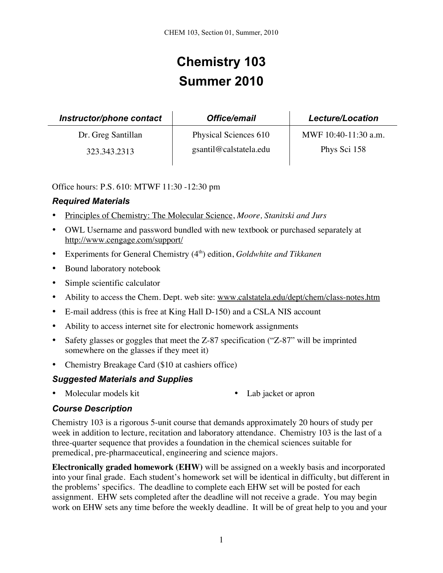# **Chemistry 103 Summer 2010**

| Instructor/phone contact | <b>Office/email</b>    | <b>Lecture/Location</b> |
|--------------------------|------------------------|-------------------------|
| Dr. Greg Santillan       | Physical Sciences 610  | MWF 10:40-11:30 a.m.    |
| 323.343.2313             | gsantil@calstatela.edu | Phys Sci 158            |

Office hours: P.S. 610: MTWF 11:30 -12:30 pm

# *Required Materials*

- Principles of Chemistry: The Molecular Science, *Moore, Stanitski and Jurs*
- OWL Username and password bundled with new textbook or purchased separately at http://www.cengage.com/support/
- Experiments for General Chemistry (4<sup>th</sup>) edition, *Goldwhite and Tikkanen*
- Bound laboratory notebook
- Simple scientific calculator
- Ability to access the Chem. Dept. web site: www.calstatela.edu/dept/chem/class-notes.htm
- E-mail address (this is free at King Hall D-150) and a CSLA NIS account
- Ability to access internet site for electronic homework assignments
- Safety glasses or goggles that meet the Z-87 specification ("Z-87" will be imprinted somewhere on the glasses if they meet it)
- Chemistry Breakage Card (\$10 at cashiers office)

#### *Suggested Materials and Supplies*

• Lab jacket or apron

# *Course Description*

Chemistry 103 is a rigorous 5-unit course that demands approximately 20 hours of study per week in addition to lecture, recitation and laboratory attendance. Chemistry 103 is the last of a three-quarter sequence that provides a foundation in the chemical sciences suitable for premedical, pre-pharmaceutical, engineering and science majors.

**Electronically graded homework (EHW)** will be assigned on a weekly basis and incorporated into your final grade. Each student's homework set will be identical in difficulty, but different in the problems' specifics. The deadline to complete each EHW set will be posted for each assignment. EHW sets completed after the deadline will not receive a grade. You may begin work on EHW sets any time before the weekly deadline. It will be of great help to you and your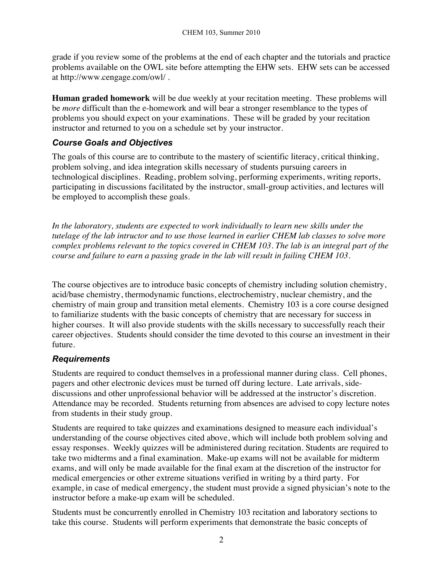grade if you review some of the problems at the end of each chapter and the tutorials and practice problems available on the OWL site before attempting the EHW sets. EHW sets can be accessed at http://www.cengage.com/owl/ .

**Human graded homework** will be due weekly at your recitation meeting. These problems will be *more* difficult than the e-homework and will bear a stronger resemblance to the types of problems you should expect on your examinations. These will be graded by your recitation instructor and returned to you on a schedule set by your instructor.

#### *Course Goals and Objectives*

The goals of this course are to contribute to the mastery of scientific literacy, critical thinking, problem solving, and idea integration skills necessary of students pursuing careers in technological disciplines. Reading, problem solving, performing experiments, writing reports, participating in discussions facilitated by the instructor, small-group activities, and lectures will be employed to accomplish these goals.

*In the laboratory, students are expected to work individually to learn new skills under the tutelage of the lab intructor and to use those learned in earlier CHEM lab classes to solve more complex problems relevant to the topics covered in CHEM 103. The lab is an integral part of the course and failure to earn a passing grade in the lab will result in failing CHEM 103.*

The course objectives are to introduce basic concepts of chemistry including solution chemistry, acid/base chemistry, thermodynamic functions, electrochemistry, nuclear chemistry, and the chemistry of main group and transition metal elements. Chemistry 103 is a core course designed to familiarize students with the basic concepts of chemistry that are necessary for success in higher courses. It will also provide students with the skills necessary to successfully reach their career objectives. Students should consider the time devoted to this course an investment in their future.

#### *Requirements*

Students are required to conduct themselves in a professional manner during class. Cell phones, pagers and other electronic devices must be turned off during lecture. Late arrivals, sidediscussions and other unprofessional behavior will be addressed at the instructor's discretion. Attendance may be recorded. Students returning from absences are advised to copy lecture notes from students in their study group.

Students are required to take quizzes and examinations designed to measure each individual's understanding of the course objectives cited above, which will include both problem solving and essay responses. Weekly quizzes will be administered during recitation. Students are required to take two midterms and a final examination. Make-up exams will not be available for midterm exams, and will only be made available for the final exam at the discretion of the instructor for medical emergencies or other extreme situations verified in writing by a third party. For example, in case of medical emergency, the student must provide a signed physician's note to the instructor before a make-up exam will be scheduled.

Students must be concurrently enrolled in Chemistry 103 recitation and laboratory sections to take this course. Students will perform experiments that demonstrate the basic concepts of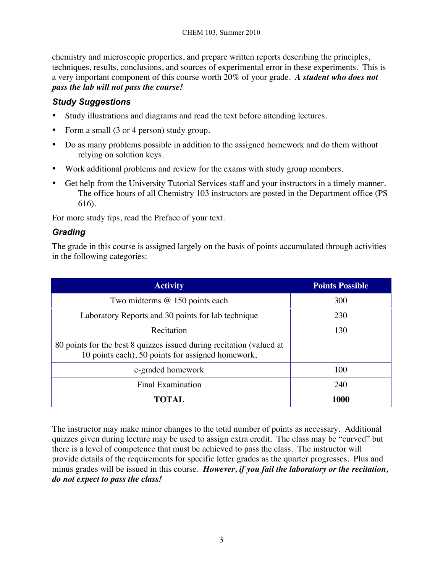chemistry and microscopic properties, and prepare written reports describing the principles, techniques, results, conclusions, and sources of experimental error in these experiments. This is a very important component of this course worth 20% of your grade. *A student who does not pass the lab will not pass the course!*

#### *Study Suggestions*

- Study illustrations and diagrams and read the text before attending lectures.
- Form a small (3 or 4 person) study group.
- Do as many problems possible in addition to the assigned homework and do them without relying on solution keys.
- Work additional problems and review for the exams with study group members.
- Get help from the University Tutorial Services staff and your instructors in a timely manner. The office hours of all Chemistry 103 instructors are posted in the Department office (PS 616).

For more study tips, read the Preface of your text.

# *Grading*

The grade in this course is assigned largely on the basis of points accumulated through activities in the following categories:

| <b>Activity</b>                                                                                                           | <b>Points Possible</b> |
|---------------------------------------------------------------------------------------------------------------------------|------------------------|
| Two midterms @ 150 points each                                                                                            | 300                    |
| Laboratory Reports and 30 points for lab technique                                                                        | 230                    |
| Recitation                                                                                                                | 130                    |
| 80 points for the best 8 quizzes issued during recitation (valued at<br>10 points each), 50 points for assigned homework, |                        |
| e-graded homework                                                                                                         | 100                    |
| <b>Final Examination</b>                                                                                                  | 240                    |
| TOTAL                                                                                                                     | 1000                   |

The instructor may make minor changes to the total number of points as necessary. Additional quizzes given during lecture may be used to assign extra credit. The class may be "curved" but there is a level of competence that must be achieved to pass the class. The instructor will provide details of the requirements for specific letter grades as the quarter progresses. Plus and minus grades will be issued in this course. *However, if you fail the laboratory or the recitation, do not expect to pass the class!*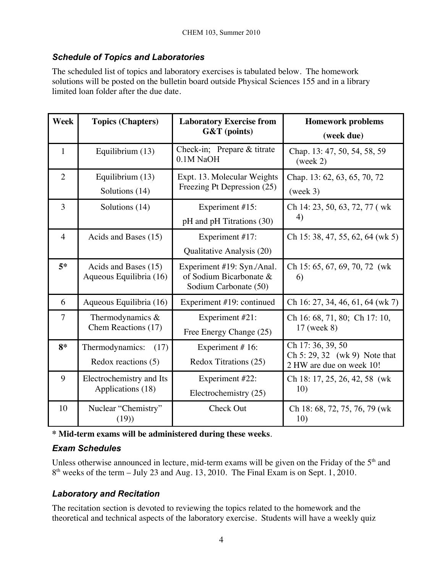# *Schedule of Topics and Laboratories*

The scheduled list of topics and laboratory exercises is tabulated below. The homework solutions will be posted on the bulletin board outside Physical Sciences 155 and in a library limited loan folder after the due date.

| <b>Week</b>    | <b>Topics (Chapters)</b>                        | <b>Laboratory Exercise from</b><br>G&T (points)                                | <b>Homework problems</b><br>(week due)                                        |
|----------------|-------------------------------------------------|--------------------------------------------------------------------------------|-------------------------------------------------------------------------------|
| 1              | Equilibrium (13)                                | Check-in; Prepare & titrate<br>0.1M NaOH                                       | Chap. 13: 47, 50, 54, 58, 59<br>(week 2)                                      |
| $\overline{2}$ | Equilibrium (13)<br>Solutions (14)              | Expt. 13. Molecular Weights<br>Freezing Pt Depression (25)                     | Chap. 13: 62, 63, 65, 70, 72<br>(week 3)                                      |
| 3              | Solutions (14)                                  | Experiment #15:<br>pH and pH Titrations (30)                                   | Ch 14: 23, 50, 63, 72, 77 (wk)<br>4)                                          |
| $\overline{4}$ | Acids and Bases (15)                            | Experiment #17:<br>Qualitative Analysis (20)                                   | Ch 15: 38, 47, 55, 62, 64 (wk 5)                                              |
| $5*$           | Acids and Bases (15)<br>Aqueous Equilibria (16) | Experiment #19: Syn./Anal.<br>of Sodium Bicarbonate &<br>Sodium Carbonate (50) | Ch 15: 65, 67, 69, 70, 72 (wk)<br>6)                                          |
| 6              | Aqueous Equilibria (16)                         | Experiment #19: continued                                                      | Ch 16: 27, 34, 46, 61, 64 (wk 7)                                              |
| 7              | Thermodynamics $\&$<br>Chem Reactions (17)      | Experiment #21:<br>Free Energy Change (25)                                     | Ch 16: 68, 71, 80; Ch 17: 10,<br>17 (week 8)                                  |
| $8*$           | Thermodynamics:<br>(17)<br>Redox reactions (5)  | Experiment #16:<br>Redox Titrations (25)                                       | Ch 17:36, 39, 50<br>Ch 5: 29, 32 (wk 9) Note that<br>2 HW are due on week 10! |
| 9              | Electrochemistry and Its<br>Applications (18)   | Experiment #22:<br>Electrochemistry (25)                                       | Ch 18: 17, 25, 26, 42, 58 (wk)<br>10)                                         |
| 10             | Nuclear "Chemistry"<br>(19)                     | Check Out                                                                      | Ch 18: 68, 72, 75, 76, 79 (wk)<br>10)                                         |

**\* Mid-term exams will be administered during these weeks**.

#### *Exam Schedules*

Unless otherwise announced in lecture, mid-term exams will be given on the Friday of the  $5<sup>th</sup>$  and  $8<sup>th</sup>$  weeks of the term – July 23 and Aug. 13, 2010. The Final Exam is on Sept. 1, 2010.

# *Laboratory and Recitation*

The recitation section is devoted to reviewing the topics related to the homework and the theoretical and technical aspects of the laboratory exercise. Students will have a weekly quiz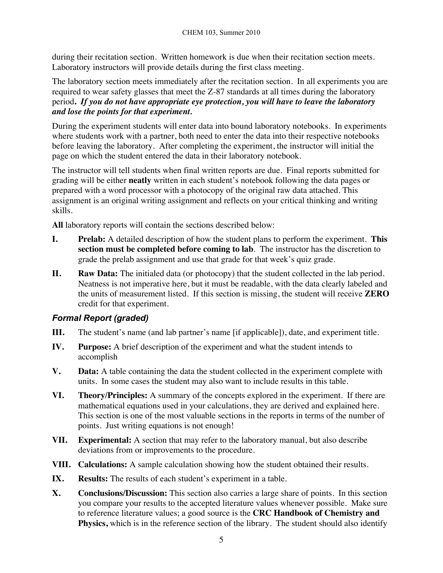during their recitation section. Written homework is due when their recitation section meets. Laboratory instructors will provide details during the first class meeting.

The laboratory section meets immediately after the recitation section. In all experiments you are required to wear safety glasses that meet the Z-87 standards at all times during the laboratory period**.** *If you do not have appropriate eye protection, you will have to leave the laboratory and lose the points for that experiment.* 

During the experiment students will enter data into bound laboratory notebooks. In experiments where students work with a partner, both need to enter the data into their respective notebooks before leaving the laboratory. After completing the experiment, the instructor will initial the page on which the student entered the data in their laboratory notebook.

The instructor will tell students when final written reports are due. Final reports submitted for grading will be either **neatly** written in each student's notebook following the data pages or prepared with a word processor with a photocopy of the original raw data attached. This assignment is an original writing assignment and reflects on your critical thinking and writing skills.

**All** laboratory reports will contain the sections described below:

- **I. Prelab:** A detailed description of how the student plans to perform the experiment. **This section must be completed before coming to lab**. The instructor has the discretion to grade the prelab assignment and use that grade for that week's quiz grade.
- **II. Raw Data:** The initialed data (or photocopy) that the student collected in the lab period. Neatness is not imperative here, but it must be readable, with the data clearly labeled and the units of measurement listed. If this section is missing, the student will receive **ZERO**  credit for that experiment.

#### *Formal Report (graded)*

- **III.** The student's name (and lab partner's name [if applicable]), date, and experiment title.
- **IV. Purpose:** A brief description of the experiment and what the student intends to accomplish
- **V. Data:** A table containing the data the student collected in the experiment complete with units. In some cases the student may also want to include results in this table.
- **VI. Theory/Principles:** A summary of the concepts explored in the experiment. If there are mathematical equations used in your calculations, they are derived and explained here. This section is one of the most valuable sections in the reports in terms of the number of points. Just writing equations is not enough!
- **VII. Experimental:** A section that may refer to the laboratory manual, but also describe deviations from or improvements to the procedure.
- **VIII. Calculations:** A sample calculation showing how the student obtained their results.
- **IX. Results:** The results of each student's experiment in a table.
- **X. Conclusions/Discussion:** This section also carries a large share of points. In this section you compare your results to the accepted literature values whenever possible. Make sure to reference literature values; a good source is the **CRC Handbook of Chemistry and Physics,** which is in the reference section of the library. The student should also identify